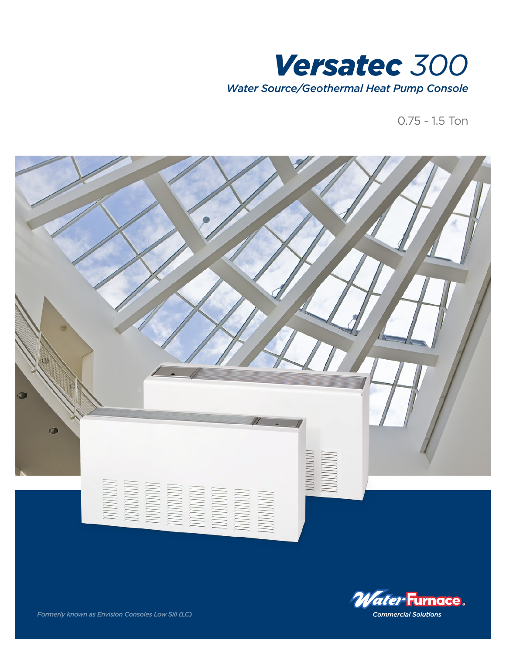

0.75 - 1.5 Ton





*Formerly known as Envision Consoles Low Sill (LC)*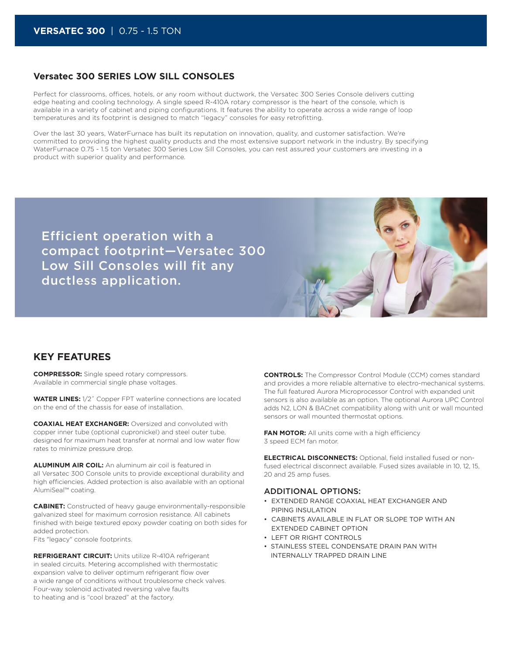### **Versatec 300 SERIES LOW SILL CONSOLES**

Perfect for classrooms, offices, hotels, or any room without ductwork, the Versatec 300 Series Console delivers cutting edge heating and cooling technology. A single speed R-410A rotary compressor is the heart of the console, which is available in a variety of cabinet and piping configurations. It features the ability to operate across a wide range of loop temperatures and its footprint is designed to match "legacy" consoles for easy retrofitting.

Over the last 30 years, WaterFurnace has built its reputation on innovation, quality, and customer satisfaction. We're committed to providing the highest quality products and the most extensive support network in the industry. By specifying WaterFurnace 0.75 - 1.5 ton Versatec 300 Series Low Sill Consoles, you can rest assured your customers are investing in a product with superior quality and performance.

Efficient operation with a compact footprint—Versatec 300 Low Sill Consoles will fit any ductless application.



## **KEY FEATURES**

**COMPRESSOR:** Single speed rotary compressors. Available in commercial single phase voltages.

**WATER LINES:** 1/2˝ Copper FPT waterline connections are located on the end of the chassis for ease of installation.

**COAXIAL HEAT EXCHANGER:** Oversized and convoluted with copper inner tube (optional cupronickel) and steel outer tube, designed for maximum heat transfer at normal and low water flow rates to minimize pressure drop.

**ALUMINUM AIR COIL:** An aluminum air coil is featured in all Versatec 300 Console units to provide exceptional durability and high efficiencies. Added protection is also available with an optional AlumiSeal™ coating.

**CABINET:** Constructed of heavy gauge environmentally-responsible galvanized steel for maximum corrosion resistance. All cabinets finished with beige textured epoxy powder coating on both sides for added protection.

Fits "legacy" console footprints.

**REFRIGERANT CIRCUIT:** Units utilize R-410A refrigerant in sealed circuits. Metering accomplished with thermostatic expansion valve to deliver optimum refrigerant flow over a wide range of conditions without troublesome check valves. Four-way solenoid activated reversing valve faults to heating and is "cool brazed" at the factory.

**CONTROLS:** The Compressor Control Module (CCM) comes standard and provides a more reliable alternative to electro-mechanical systems. The full featured Aurora Microprocessor Control with expanded unit sensors is also available as an option. The optional Aurora UPC Control adds N2, LON & BACnet compatibility along with unit or wall mounted sensors or wall mounted thermostat options.

**FAN MOTOR:** All units come with a high efficiency 3 speed ECM fan motor.

**ELECTRICAL DISCONNECTS:** Optional, field installed fused or nonfused electrical disconnect available. Fused sizes available in 10, 12, 15, 20 and 25 amp fuses.

#### ADDITIONAL OPTIONS:

- EXTENDED RANGE COAXIAL HEAT EXCHANGER AND PIPING INSULATION
- CABINETS AVAILABLE IN FLAT OR SLOPE TOP WITH AN EXTENDED CABINET OPTION
- LEFT OR RIGHT CONTROLS
- STAINLESS STEEL CONDENSATE DRAIN PAN WITH INTERNALLY TRAPPED DRAIN LINE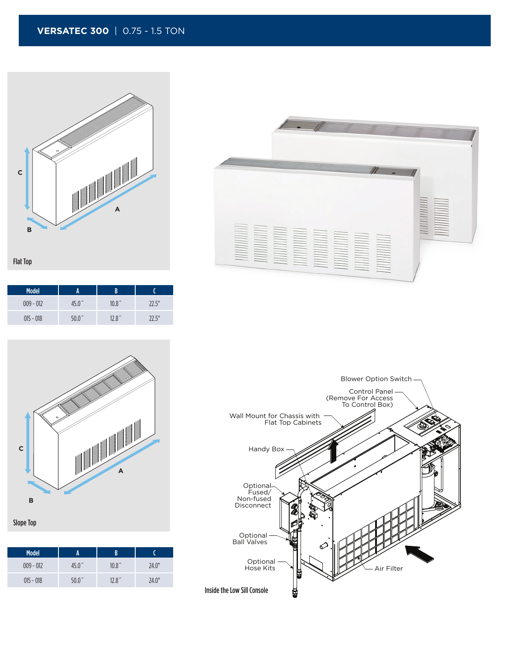## **VERSATEC 300** | 0.75 - 1.5 TON





| <b>Model</b> | A     | B      |       |
|--------------|-------|--------|-------|
| $009 - 012$  | 45.0″ | 10.8'' | 72.5" |
| $015 - 018$  | 50.0" | 12.8'' | 72.5" |





Slope Top

| <b>Model</b> |                    |        |       |
|--------------|--------------------|--------|-------|
| $009 - 012$  | 45.0"              | 10.8'' | 24.0" |
| $015 - 018$  | 50.0 <sup>''</sup> | 12.8'' | 24.0" |